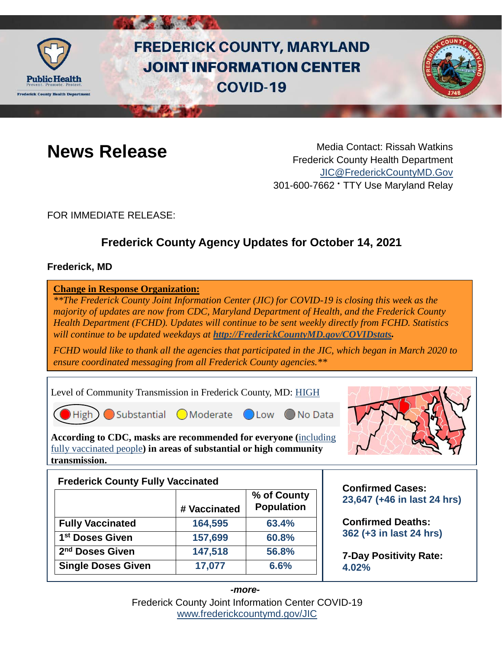

# **FREDERICK COUNTY, MARYLAND JOINT INFORMATION CENTER COVID-19**



**News Release** Media Contact: Rissah Watkins Frederick County Health Department [JIC@FrederickCountyMD.Gov](mailto:JIC@FrederickCountyMD.Gov) 301-600-7662 • TTY Use Maryland Relay

FOR IMMEDIATE RELEASE:

## **Frederick County Agency Updates for October 14, 2021**

## **Frederick, MD**

**Change in Response Organization:** *\*\*The Frederick County Joint Information Center (JIC) for COVID-19 is closing this week as the majority of updates are now from CDC, Maryland Department of Health, and the Frederick County Health Department (FCHD). Updates will continue to be sent weekly directly from FCHD. Statistics will continue to be updated weekdays at [http://FrederickCountyMD.gov/COVIDstats.](http://frederickcountymd.gov/COVIDstats)*

*FCHD would like to thank all the agencies that participated in the JIC, which began in March 2020 to ensure coordinated messaging from all Frederick County agencies.\*\**

Level of Community Transmission in Frederick County, MD: [HIGH](https://covid.cdc.gov/covid-data-tracker/#county-view)



 $High$  Substantial Moderate Low

◯ No Data

**According to CDC, masks are recommended for everyone (**[including](https://www.cdc.gov/coronavirus/2019-ncov/vaccines/fully-vaccinated-guidance.html)  [fully vaccinated people](https://www.cdc.gov/coronavirus/2019-ncov/vaccines/fully-vaccinated-guidance.html)**) in areas of substantial or high community transmission.** 



## **Frederick County Fully Vaccinated # Vaccinated % of County Population Fully Vaccinated 164,595 63.4% 1st Doses Given 157,699 60.8% 2nd Doses Given 147,518 56.8% Single Doses Given** 17,077 **6.6%**

**Confirmed Cases: 23,647 (+46 in last 24 hrs)**

**Confirmed Deaths: 362 (+3 in last 24 hrs)**

**7-Day Positivity Rate: 4.02%**

Frederick County Joint Information Center COVID-19 [www.frederickcountymd.gov/JIC](https://frederickcountymd.gov/JIC) *-more-*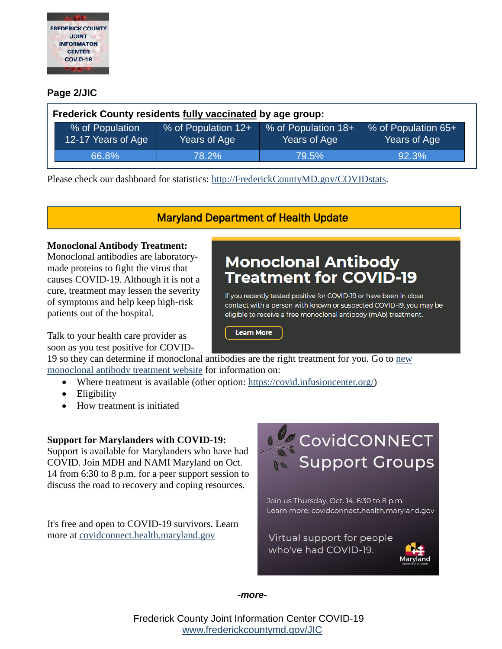

## **Page 2/JIC**

| Frederick County residents fully vaccinated by age group: |                                       |                                     |                                     |                                     |  |
|-----------------------------------------------------------|---------------------------------------|-------------------------------------|-------------------------------------|-------------------------------------|--|
|                                                           | % of Population<br>12-17 Years of Age | % of Population 12+<br>Years of Age | % of Population 18+<br>Years of Age | % of Population 65+<br>Years of Age |  |
|                                                           | 66.8%                                 | 78.2%                               | 79.5%                               | 92.3%                               |  |

Please check our dashboard for statistics: [http://FrederickCountyMD.gov/COVIDstats.](http://frederickcountymd.gov/COVIDstats)

Maryland Department of Health Update

**Monoclonal Antibody** Treatment for COVID-19

If you recently tested positive for COVID-19 or have been in close contact with a person with known or suspected COVID-19, you may be eligible to receive a free monoclonal antibody (mAb) treatment.

#### **Monoclonal Antibody Treatment:**

Monoclonal antibodies are laboratorymade proteins to fight the virus that causes COVID-19. Although it is not a cure, treatment may lessen the severity of symptoms and help keep high-risk patients out of the hospital.

Talk to your health care provider as soon as you test positive for COVID-

## 19 so they can determine if monoclonal [antibodies are the right treatment for you.](https://covidlink.maryland.gov/content/testing/monoclonal-antibody-treatment/) Go to [new](https://covidlink.maryland.gov/content/testing/monoclonal-antibody-treatment/)  [monoclonal antibody treatment website](https://covidlink.maryland.gov/content/testing/monoclonal-antibody-treatment/) for information on:

- Where treatment is available (other option: [https://covid.infusioncenter.org/\)](https://covid.infusioncenter.org/)
- Eligibility
- How treatment is initiated

## **Support for Marylanders with COVID-19:**

Support is available for Marylanders who have had COVID. Join MDH and NAMI Maryland on Oct. 14 from 6:30 to 8 p.m. for a peer support session to discuss the road to recovery and coping resources.

It's free and open to COVID-19 survivors. Learn more at [covidconnect.health.maryland.gov](http://covidconnect.health.maryland.gov/)



Maryland

*-more-*

Frederick County Joint Information Center COVID-19 [www.frederickcountymd.gov/JIC](https://frederickcountymd.gov/JIC)

**Learn More**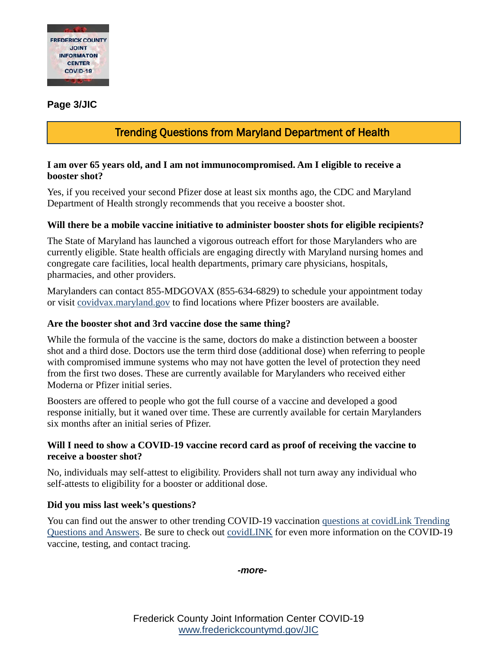

## **Page 3/JIC**

## Trending Questions from Maryland Department of Health

#### **I am over 65 years old, and I am not immunocompromised. Am I eligible to receive a booster shot?**

Yes, if you received your second Pfizer dose at least six months ago, the CDC and Maryland Department of Health strongly recommends that you receive a booster shot.

## **Will there be a mobile vaccine initiative to administer booster shots for eligible recipients?**

The State of Maryland has launched a vigorous outreach effort for those Marylanders who are currently eligible. State health officials are engaging directly with Maryland nursing homes and congregate care facilities, local health departments, primary care physicians, hospitals, pharmacies, and other providers.

Marylanders can contact 855-MDGOVAX (855-634-6829) to schedule your appointment today or visit [covidvax.maryland.gov](https://coronavirus.maryland.gov/pages/vaccine) to find locations where Pfizer boosters are available.

#### **Are the booster shot and 3rd vaccine dose the same thing?**

While the formula of the vaccine is the same, doctors do make a distinction between a booster shot and a third dose. Doctors use the term third dose (additional dose) when referring to people with compromised immune systems who may not have gotten the level of protection they need from the first two doses. These are currently available for Marylanders who received either Moderna or Pfizer initial series.

Boosters are offered to people who got the full course of a vaccine and developed a good response initially, but it waned over time. These are currently available for certain Marylanders six months after an initial series of Pfizer.

## **Will I need to show a COVID-19 vaccine record card as proof of receiving the vaccine to receive a booster shot?**

No, individuals may self-attest to eligibility. Providers shall not turn away any individual who self-attests to eligibility for a booster or additional dose.

## **Did you miss last week's questions?**

You can find out the answer to other trending COVID-19 vaccination [questions at covidLink Trending](https://covidlink.maryland.gov/content/faqs/#trending)  [Questions and Answers.](https://covidlink.maryland.gov/content/faqs/#trending) Be sure to check out [covidLINK](https://covidlink.maryland.gov/content/) for even more information on the COVID-19 vaccine, testing, and contact tracing.

*-more-*